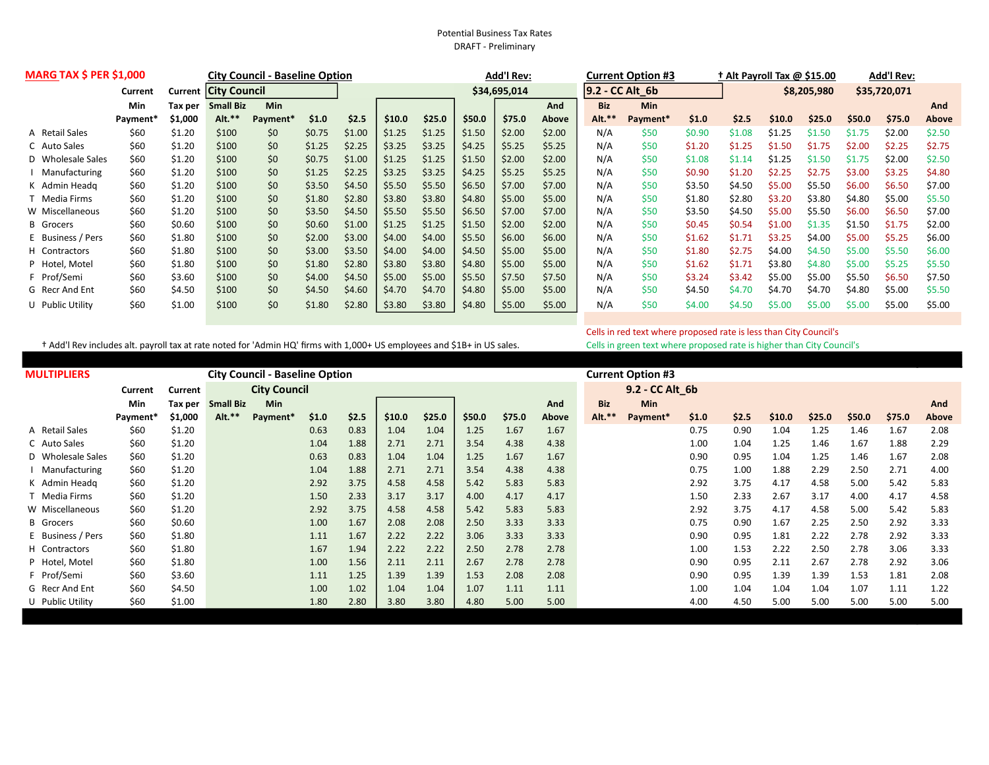## Potential Business Tax Rates DRAFT - Preliminary

| <b>MARG TAX \$ PER \$1,000</b> |          |         | <b>City Council - Baseline Option</b> |                      |        |              |        |        |        | <b>Add'l Rev:</b> |                 |            | <b>Current Option #3</b> |             |        | + Alt Payroll Tax @ \$15.00 |              |        | <b>Add'l Rev:</b> |        |
|--------------------------------|----------|---------|---------------------------------------|----------------------|--------|--------------|--------|--------|--------|-------------------|-----------------|------------|--------------------------|-------------|--------|-----------------------------|--------------|--------|-------------------|--------|
|                                | Current  | Current | <b>City Council</b>                   |                      |        | \$34,695,014 |        |        |        |                   | 9.2 - CC Alt 6b |            |                          | \$8,205,980 |        |                             | \$35,720,071 |        |                   |        |
|                                | Min      | Tax per | <b>Small Biz</b>                      | <b>Min</b>           |        |              |        |        |        |                   | And             | <b>Biz</b> | Min                      |             |        |                             |              |        |                   | And    |
|                                | Payment* | \$1,000 | Alt.*'                                | Payment <sup>*</sup> | \$1.0  | \$2.5        | \$10.0 | \$25.0 | \$50.0 | \$75.0            | Above           | Alt.**     | Payment*                 | \$1.0       | \$2.5  | \$10.0                      | \$25.0       | \$50.0 | \$75.0            | Above  |
| A Retail Sales                 | \$60     | \$1.20  | \$100                                 | \$0                  | \$0.75 | \$1.00       | \$1.25 | \$1.25 | \$1.50 | \$2.00            | \$2.00          | N/A        | \$50                     | \$0.90      | \$1.08 | \$1.25                      | \$1.50       | \$1.75 | \$2.00            | \$2.50 |
| C Auto Sales                   | \$60     | \$1.20  | \$100                                 | \$0                  | \$1.25 | \$2.25       | \$3.25 | \$3.25 | \$4.25 | \$5.25            | \$5.25          | N/A        | \$50                     | \$1.20      | \$1.25 | \$1.50                      | \$1.75       | \$2.00 | \$2.25            | \$2.75 |
| D Wholesale Sales              | \$60     | \$1.20  | \$100                                 | \$0                  | \$0.75 | \$1.00       | \$1.25 | \$1.25 | \$1.50 | \$2.00            | \$2.00          | N/A        | \$50                     | \$1.08      | \$1.14 | \$1.25                      | \$1.50       | \$1.75 | \$2.00            | \$2.50 |
| Manufacturing                  | \$60     | \$1.20  | \$100                                 | \$0                  | \$1.25 | \$2.25       | \$3.25 | \$3.25 | \$4.25 | \$5.25            | \$5.25          | N/A        | \$50                     | \$0.90      | \$1.20 | \$2.25                      | \$2.75       | \$3.00 | \$3.25            | \$4.80 |
| K Admin Headg                  | \$60     | \$1.20  | \$100                                 | \$0                  | \$3.50 | \$4.50       | \$5.50 | \$5.50 | \$6.50 | \$7.00            | \$7.00          | N/A        | \$50                     | \$3.50      | \$4.50 | \$5.00                      | \$5.50       | \$6.00 | \$6.50            | \$7.00 |
| Media Firms                    | \$60     | \$1.20  | \$100                                 | \$0                  | \$1.80 | \$2.80       | \$3.80 | \$3.80 | \$4.80 | \$5.00            | \$5.00          | N/A        | \$50                     | \$1.80      | \$2.80 | \$3.20                      | \$3.80       | \$4.80 | \$5.00            | \$5.50 |
| W Miscellaneous                | \$60     | \$1.20  | \$100                                 | \$0                  | \$3.50 | \$4.50       | \$5.50 | \$5.50 | \$6.50 | \$7.00            | \$7.00          | N/A        | \$50                     | \$3.50      | \$4.50 | \$5.00                      | \$5.50       | \$6.00 | \$6.50            | \$7.00 |
| <b>B</b> Grocers               | \$60     | \$0.60  | \$100                                 | \$0                  | \$0.60 | \$1.00       | \$1.25 | \$1.25 | \$1.50 | \$2.00            | \$2.00          | N/A        | \$50                     | \$0.45      | \$0.54 | \$1.00                      | \$1.35       | \$1.50 | \$1.75            | \$2.00 |
| E Business / Pers              | \$60     | \$1.80  | \$100                                 | \$0                  | \$2.00 | \$3.00       | \$4.00 | \$4.00 | \$5.50 | \$6.00            | \$6.00          | N/A        | \$50                     | \$1.62      | \$1.71 | \$3.25                      | \$4.00       | \$5.00 | \$5.25            | \$6.00 |
| H Contractors                  | \$60     | \$1.80  | \$100                                 | \$0                  | \$3.00 | \$3.50       | \$4.00 | \$4.00 | \$4.50 | \$5.00            | \$5.00          | N/A        | \$50                     | \$1.80      | \$2.75 | \$4.00                      | \$4.50       | \$5.00 | \$5.50            | \$6.00 |
| P Hotel, Motel                 | \$60     | \$1.80  | \$100                                 | \$0                  | \$1.80 | \$2.80       | \$3.80 | \$3.80 | \$4.80 | \$5.00            | \$5.00          | N/A        | \$50                     | \$1.62      | \$1.71 | \$3.80                      | \$4.80       | \$5.00 | \$5.25            | \$5.50 |
| F Prof/Semi                    | \$60     | \$3.60  | \$100                                 | \$0                  | \$4.00 | \$4.50       | \$5.00 | \$5.00 | \$5.50 | \$7.50            | \$7.50          | N/A        | \$50                     | \$3.24      | \$3.42 | \$5.00                      | \$5.00       | \$5.50 | \$6.50            | \$7.50 |
| G Recr And Ent                 | \$60     | \$4.50  | \$100                                 | \$0                  | \$4.50 | \$4.60       | \$4.70 | \$4.70 | \$4.80 | \$5.00            | \$5.00          | N/A        | \$50                     | \$4.50      | \$4.70 | \$4.70                      | \$4.70       | \$4.80 | \$5.00            | \$5.50 |
| U Public Utility               | \$60     | \$1.00  | \$100                                 | \$0                  | \$1.80 | \$2.80       | \$3.80 | \$3.80 | \$4.80 | \$5.00            | \$5.00          | N/A        | \$50                     | \$4.00      | \$4.50 | \$5.00                      | \$5.00       | \$5.00 | \$5.00            | \$5.00 |
|                                |          |         |                                       |                      |        |              |        |        |        |                   |                 |            |                          |             |        |                             |              |        |                   |        |

† Add'l Rev includes alt. payroll tax at rate noted for 'Admin HQ' firms with 1,000+ US employees and \$1B+ in US sales. Cells in green text where proposed rate is higher than City Council's

Cells in red text where proposed rate is less than City Council's

| <b>MULTIPLIERS</b> | <b>City Council - Baseline Option</b> |         |                     |            |       |       |        |        |        |        |       |            | <b>Current Option #3</b> |       |       |        |        |        |        |       |  |
|--------------------|---------------------------------------|---------|---------------------|------------|-------|-------|--------|--------|--------|--------|-------|------------|--------------------------|-------|-------|--------|--------|--------|--------|-------|--|
|                    | Current                               | Current | <b>City Council</b> |            |       |       |        |        |        |        |       |            | 9.2 - CC Alt_6b          |       |       |        |        |        |        |       |  |
|                    | <b>Min</b>                            | Tax per | <b>Small Biz</b>    | <b>Min</b> |       |       |        |        |        |        | And   | <b>Biz</b> | <b>Min</b>               |       |       |        |        |        |        | And   |  |
|                    | Payment*                              | \$1,000 | $Alt.**$            | Payment*   | \$1.0 | \$2.5 | \$10.0 | \$25.0 | \$50.0 | \$75.0 | Above | Alt.**     | Payment*                 | \$1.0 | \$2.5 | \$10.0 | \$25.0 | \$50.0 | \$75.0 | Above |  |
| A Retail Sales     | \$60                                  | \$1.20  |                     |            | 0.63  | 0.83  | 1.04   | 1.04   | 1.25   | 1.67   | 1.67  |            |                          | 0.75  | 0.90  | 1.04   | 1.25   | 1.46   | 1.67   | 2.08  |  |
| C Auto Sales       | \$60                                  | \$1.20  |                     |            | 1.04  | 1.88  | 2.71   | 2.71   | 3.54   | 4.38   | 4.38  |            |                          | 1.00  | 1.04  | 1.25   | 1.46   | 1.67   | 1.88   | 2.29  |  |
| D Wholesale Sales  | \$60                                  | \$1.20  |                     |            | 0.63  | 0.83  | 1.04   | 1.04   | 1.25   | 1.67   | 1.67  |            |                          | 0.90  | 0.95  | 1.04   | 1.25   | 1.46   | 1.67   | 2.08  |  |
| Manufacturing      | \$60                                  | \$1.20  |                     |            | 1.04  | 1.88  | 2.71   | 2.71   | 3.54   | 4.38   | 4.38  |            |                          | 0.75  | 1.00  | 1.88   | 2.29   | 2.50   | 2.71   | 4.00  |  |
| K Admin Headg      | \$60                                  | \$1.20  |                     |            | 2.92  | 3.75  | 4.58   | 4.58   | 5.42   | 5.83   | 5.83  |            |                          | 2.92  | 3.75  | 4.17   | 4.58   | 5.00   | 5.42   | 5.83  |  |
| T Media Firms      | \$60                                  | \$1.20  |                     |            | 1.50  | 2.33  | 3.17   | 3.17   | 4.00   | 4.17   | 4.17  |            |                          | 1.50  | 2.33  | 2.67   | 3.17   | 4.00   | 4.17   | 4.58  |  |
| W Miscellaneous    | \$60                                  | \$1.20  |                     |            | 2.92  | 3.75  | 4.58   | 4.58   | 5.42   | 5.83   | 5.83  |            |                          | 2.92  | 3.75  | 4.17   | 4.58   | 5.00   | 5.42   | 5.83  |  |
| <b>B</b> Grocers   | \$60                                  | \$0.60  |                     |            | 1.00  | 1.67  | 2.08   | 2.08   | 2.50   | 3.33   | 3.33  |            |                          | 0.75  | 0.90  | 1.67   | 2.25   | 2.50   | 2.92   | 3.33  |  |
| E Business / Pers  | \$60                                  | \$1.80  |                     |            | 1.11  | 1.67  | 2.22   | 2.22   | 3.06   | 3.33   | 3.33  |            |                          | 0.90  | 0.95  | 1.81   | 2.22   | 2.78   | 2.92   | 3.33  |  |
| H Contractors      | \$60                                  | \$1.80  |                     |            | 1.67  | 1.94  | 2.22   | 2.22   | 2.50   | 2.78   | 2.78  |            |                          | 1.00  | 1.53  | 2.22   | 2.50   | 2.78   | 3.06   | 3.33  |  |
| P Hotel, Motel     | \$60                                  | \$1.80  |                     |            | 1.00  | 1.56  | 2.11   | 2.11   | 2.67   | 2.78   | 2.78  |            |                          | 0.90  | 0.95  | 2.11   | 2.67   | 2.78   | 2.92   | 3.06  |  |
| F Prof/Semi        | \$60                                  | \$3.60  |                     |            | 1.11  | 1.25  | 1.39   | 1.39   | 1.53   | 2.08   | 2.08  |            |                          | 0.90  | 0.95  | 1.39   | 1.39   | 1.53   | 1.81   | 2.08  |  |
| G Recr And Ent     | \$60                                  | \$4.50  |                     |            | 1.00  | 1.02  | 1.04   | 1.04   | 1.07   | 1.11   | 1.11  |            |                          | 1.00  | 1.04  | 1.04   | 1.04   | 1.07   | 1.11   | 1.22  |  |
| U Public Utility   | \$60                                  | \$1.00  |                     |            | 1.80  | 2.80  | 3.80   | 3.80   | 4.80   | 5.00   | 5.00  |            |                          | 4.00  | 4.50  | 5.00   | 5.00   | 5.00   | 5.00   | 5.00  |  |